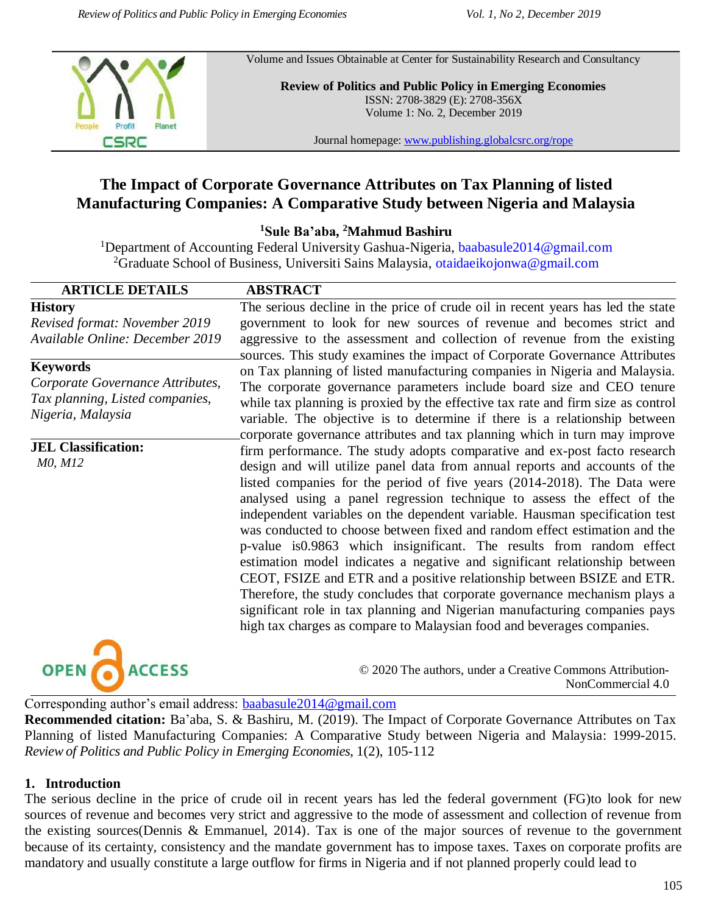

Volume and Issues Obtainable at Center for Sustainability Research and Consultancy

**Review of Politics and Public Policy in Emerging Economies** ISSN: 2708-3829 (E): 2708-356X Volume 1: No. 2, December 2019

Journal homepage: [www.publishing.globalcsrc.org/rope](http://www.publishing.globalcsrc.org/rope)

# **The Impact of Corporate Governance Attributes on Tax Planning of listed Manufacturing Companies: A Comparative Study between Nigeria and Malaysia**

**<sup>1</sup>Sule Ba'aba, <sup>2</sup>Mahmud Bashiru**

<sup>1</sup>Department of Accounting Federal University Gashua-Nigeria, [baabasule2014@gmail.com](mailto:baabasule2014@gmail.com) <sup>2</sup>Graduate School of Business, Universiti Sains Malaysia, [otaidaeikojonwa@gmail.com](mailto:otaidaeikojonwa@gmail.com)

# **ARTICLE DETAILS ABSTRACT**

**History** *Revised format: November 2019 Available Online: December 2019*

**Keywords**

*Corporate Governance Attributes, Tax planning, Listed companies, Nigeria, Malaysia*

**JEL Classification:** *M0, M12*

The serious decline in the price of crude oil in recent years has led the state government to look for new sources of revenue and becomes strict and aggressive to the assessment and collection of revenue from the existing sources. This study examines the impact of Corporate Governance Attributes on Tax planning of listed manufacturing companies in Nigeria and Malaysia. The corporate governance parameters include board size and CEO tenure while tax planning is proxied by the effective tax rate and firm size as control variable. The objective is to determine if there is a relationship between corporate governance attributes and tax planning which in turn may improve firm performance. The study adopts comparative and ex-post facto research design and will utilize panel data from annual reports and accounts of the listed companies for the period of five years (2014-2018). The Data were analysed using a panel regression technique to assess the effect of the independent variables on the dependent variable. Hausman specification test was conducted to choose between fixed and random effect estimation and the p-value is0.9863 which insignificant. The results from random effect estimation model indicates a negative and significant relationship between CEOT, FSIZE and ETR and a positive relationship between BSIZE and ETR. Therefore, the study concludes that corporate governance mechanism plays a significant role in tax planning and Nigerian manufacturing companies pays high tax charges as compare to Malaysian food and beverages companies.



© 2020 The authors, under a Creative Commons Attribution-NonCommercial 4.0

Corresponding author's email address: [baabasule2014@gmail.com](mailto:baabasule2014@gmail.com)

**Recommended citation:** Ba'aba, S. & Bashiru, M. (2019). The Impact of Corporate Governance Attributes on Tax Planning of listed Manufacturing Companies: A Comparative Study between Nigeria and Malaysia: 1999-2015. *Review of Politics and Public Policy in Emerging Economies*, 1(2), 105-112

### **1. Introduction**

The serious decline in the price of crude oil in recent years has led the federal government (FG)to look for new sources of revenue and becomes very strict and aggressive to the mode of assessment and collection of revenue from the existing sources(Dennis & Emmanuel, 2014). Tax is one of the major sources of revenue to the government because of its certainty, consistency and the mandate government has to impose taxes. Taxes on corporate profits are mandatory and usually constitute a large outflow for firms in Nigeria and if not planned properly could lead to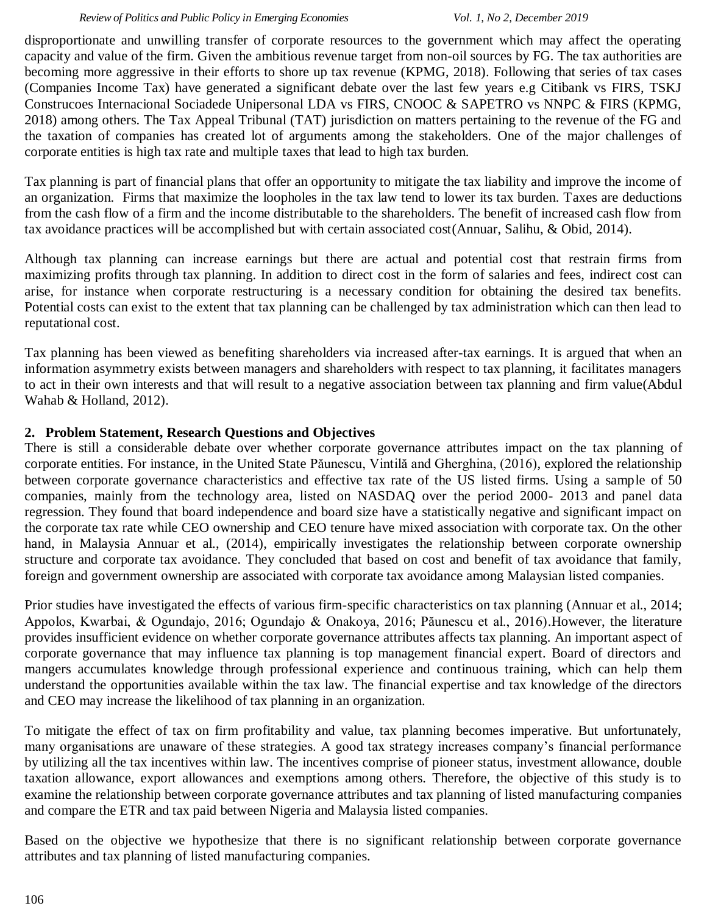#### *Review of Politics and Public Policy in Emerging Economies Vol. 1, No 2, December 2019*

disproportionate and unwilling transfer of corporate resources to the government which may affect the operating capacity and value of the firm. Given the ambitious revenue target from non-oil sources by FG. The tax authorities are becoming more aggressive in their efforts to shore up tax revenue (KPMG, 2018). Following that series of tax cases (Companies Income Tax) have generated a significant debate over the last few years e.g Citibank vs FIRS, TSKJ Construcoes Internacional Sociadede Unipersonal LDA vs FIRS, CNOOC & SAPETRO vs NNPC & FIRS (KPMG, 2018) among others. The Tax Appeal Tribunal (TAT) jurisdiction on matters pertaining to the revenue of the FG and the taxation of companies has created lot of arguments among the stakeholders. One of the major challenges of corporate entities is high tax rate and multiple taxes that lead to high tax burden.

Tax planning is part of financial plans that offer an opportunity to mitigate the tax liability and improve the income of an organization. Firms that maximize the loopholes in the tax law tend to lower its tax burden. Taxes are deductions from the cash flow of a firm and the income distributable to the shareholders. The benefit of increased cash flow from tax avoidance practices will be accomplished but with certain associated cost(Annuar, Salihu, & Obid, 2014).

Although tax planning can increase earnings but there are actual and potential cost that restrain firms from maximizing profits through tax planning. In addition to direct cost in the form of salaries and fees, indirect cost can arise, for instance when corporate restructuring is a necessary condition for obtaining the desired tax benefits. Potential costs can exist to the extent that tax planning can be challenged by tax administration which can then lead to reputational cost.

Tax planning has been viewed as benefiting shareholders via increased after-tax earnings. It is argued that when an information asymmetry exists between managers and shareholders with respect to tax planning, it facilitates managers to act in their own interests and that will result to a negative association between tax planning and firm value(Abdul Wahab & Holland, 2012).

# **2. Problem Statement, Research Questions and Objectives**

There is still a considerable debate over whether corporate governance attributes impact on the tax planning of corporate entities. For instance, in the United State Păunescu, Vintilă and Gherghina, (2016), explored the relationship between corporate governance characteristics and effective tax rate of the US listed firms. Using a sample of 50 companies, mainly from the technology area, listed on NASDAQ over the period 2000- 2013 and panel data regression. They found that board independence and board size have a statistically negative and significant impact on the corporate tax rate while CEO ownership and CEO tenure have mixed association with corporate tax. On the other hand, in Malaysia Annuar et al., (2014), empirically investigates the relationship between corporate ownership structure and corporate tax avoidance. They concluded that based on cost and benefit of tax avoidance that family, foreign and government ownership are associated with corporate tax avoidance among Malaysian listed companies.

Prior studies have investigated the effects of various firm-specific characteristics on tax planning (Annuar et al., 2014; Appolos, Kwarbai, & Ogundajo, 2016; Ogundajo & Onakoya, 2016; Păunescu et al., 2016).However, the literature provides insufficient evidence on whether corporate governance attributes affects tax planning. An important aspect of corporate governance that may influence tax planning is top management financial expert. Board of directors and mangers accumulates knowledge through professional experience and continuous training, which can help them understand the opportunities available within the tax law. The financial expertise and tax knowledge of the directors and CEO may increase the likelihood of tax planning in an organization.

To mitigate the effect of tax on firm profitability and value, tax planning becomes imperative. But unfortunately, many organisations are unaware of these strategies. A good tax strategy increases company's financial performance by utilizing all the tax incentives within law. The incentives comprise of pioneer status, investment allowance, double taxation allowance, export allowances and exemptions among others. Therefore, the objective of this study is to examine the relationship between corporate governance attributes and tax planning of listed manufacturing companies and compare the ETR and tax paid between Nigeria and Malaysia listed companies.

Based on the objective we hypothesize that there is no significant relationship between corporate governance attributes and tax planning of listed manufacturing companies.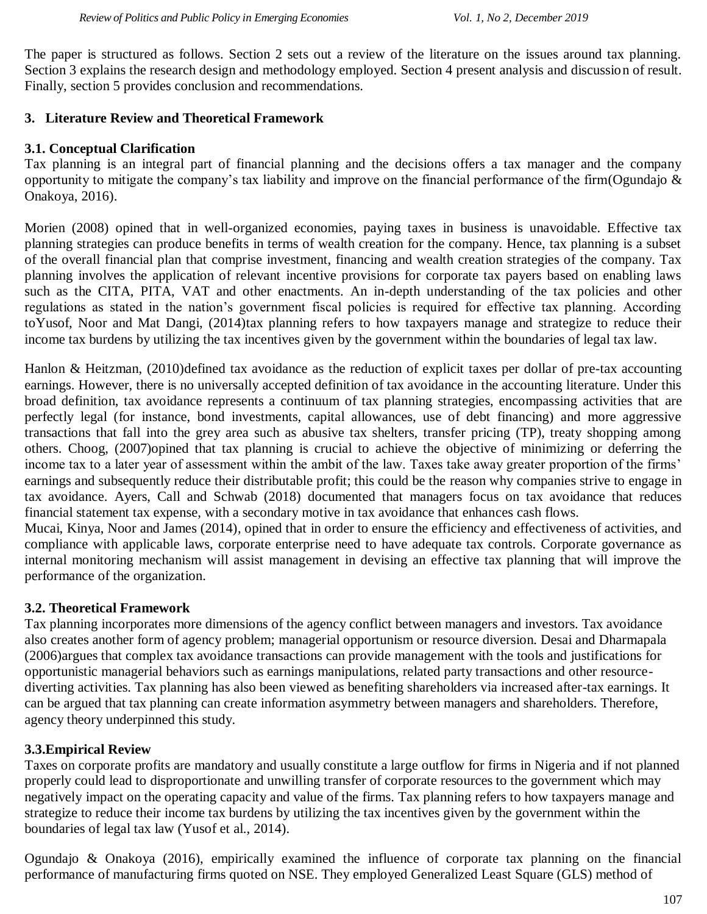The paper is structured as follows. Section 2 sets out a review of the literature on the issues around tax planning. Section 3 explains the research design and methodology employed. Section 4 present analysis and discussion of result. Finally, section 5 provides conclusion and recommendations.

# **3. Literature Review and Theoretical Framework**

# **3.1. Conceptual Clarification**

Tax planning is an integral part of financial planning and the decisions offers a tax manager and the company opportunity to mitigate the company's tax liability and improve on the financial performance of the firm(Ogundajo & Onakoya, 2016).

Morien (2008) opined that in well-organized economies, paying taxes in business is unavoidable. Effective tax planning strategies can produce benefits in terms of wealth creation for the company. Hence, tax planning is a subset of the overall financial plan that comprise investment, financing and wealth creation strategies of the company. Tax planning involves the application of relevant incentive provisions for corporate tax payers based on enabling laws such as the CITA, PITA, VAT and other enactments. An in-depth understanding of the tax policies and other regulations as stated in the nation's government fiscal policies is required for effective tax planning. According toYusof, Noor and Mat Dangi, (2014)tax planning refers to how taxpayers manage and strategize to reduce their income tax burdens by utilizing the tax incentives given by the government within the boundaries of legal tax law.

Hanlon & Heitzman, (2010)defined tax avoidance as the reduction of explicit taxes per dollar of pre-tax accounting earnings. However, there is no universally accepted definition of tax avoidance in the accounting literature. Under this broad definition, tax avoidance represents a continuum of tax planning strategies, encompassing activities that are perfectly legal (for instance, bond investments, capital allowances, use of debt financing) and more aggressive transactions that fall into the grey area such as abusive tax shelters, transfer pricing (TP), treaty shopping among others. Choog, (2007)opined that tax planning is crucial to achieve the objective of minimizing or deferring the income tax to a later year of assessment within the ambit of the law. Taxes take away greater proportion of the firms' earnings and subsequently reduce their distributable profit; this could be the reason why companies strive to engage in tax avoidance. Ayers, Call and Schwab (2018) documented that managers focus on tax avoidance that reduces financial statement tax expense, with a secondary motive in tax avoidance that enhances cash flows.

Mucai, Kinya, Noor and James (2014), opined that in order to ensure the efficiency and effectiveness of activities, and compliance with applicable laws, corporate enterprise need to have adequate tax controls. Corporate governance as internal monitoring mechanism will assist management in devising an effective tax planning that will improve the performance of the organization.

# **3.2. Theoretical Framework**

Tax planning incorporates more dimensions of the agency conflict between managers and investors. Tax avoidance also creates another form of agency problem; managerial opportunism or resource diversion. Desai and Dharmapala (2006)argues that complex tax avoidance transactions can provide management with the tools and justifications for opportunistic managerial behaviors such as earnings manipulations, related party transactions and other resourcediverting activities. Tax planning has also been viewed as benefiting shareholders via increased after-tax earnings. It can be argued that tax planning can create information asymmetry between managers and shareholders. Therefore, agency theory underpinned this study.

# **3.3.Empirical Review**

Taxes on corporate profits are mandatory and usually constitute a large outflow for firms in Nigeria and if not planned properly could lead to disproportionate and unwilling transfer of corporate resources to the government which may negatively impact on the operating capacity and value of the firms. Tax planning refers to how taxpayers manage and strategize to reduce their income tax burdens by utilizing the tax incentives given by the government within the boundaries of legal tax law (Yusof et al., 2014).

Ogundajo & Onakoya (2016), empirically examined the influence of corporate tax planning on the financial performance of manufacturing firms quoted on NSE. They employed Generalized Least Square (GLS) method of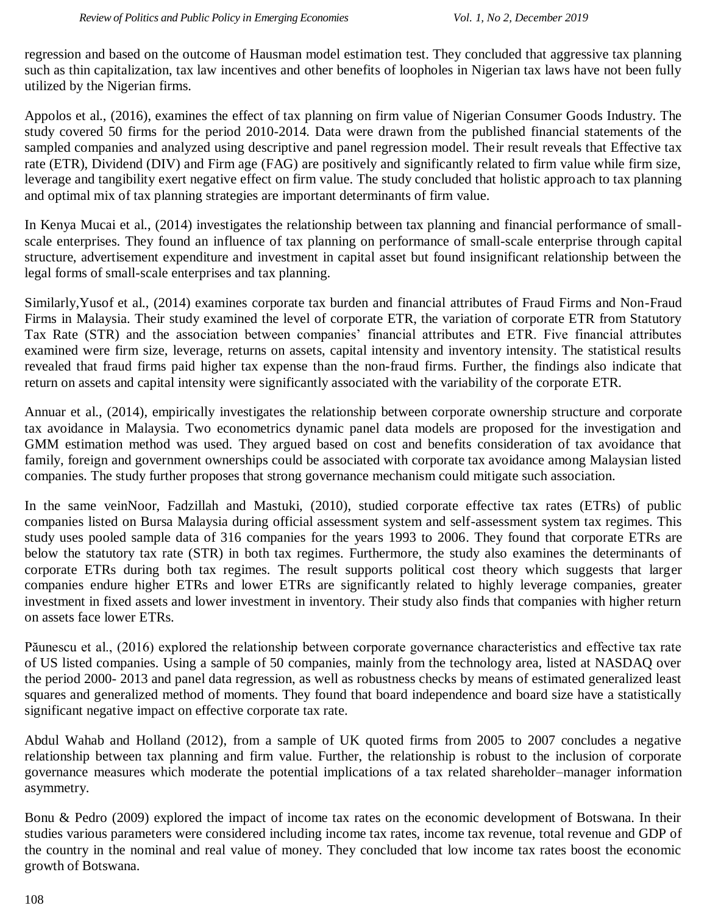regression and based on the outcome of Hausman model estimation test. They concluded that aggressive tax planning such as thin capitalization, tax law incentives and other benefits of loopholes in Nigerian tax laws have not been fully utilized by the Nigerian firms.

Appolos et al., (2016), examines the effect of tax planning on firm value of Nigerian Consumer Goods Industry. The study covered 50 firms for the period 2010-2014. Data were drawn from the published financial statements of the sampled companies and analyzed using descriptive and panel regression model. Their result reveals that Effective tax rate (ETR), Dividend (DIV) and Firm age (FAG) are positively and significantly related to firm value while firm size, leverage and tangibility exert negative effect on firm value. The study concluded that holistic approach to tax planning and optimal mix of tax planning strategies are important determinants of firm value.

In Kenya Mucai et al., (2014) investigates the relationship between tax planning and financial performance of smallscale enterprises. They found an influence of tax planning on performance of small-scale enterprise through capital structure, advertisement expenditure and investment in capital asset but found insignificant relationship between the legal forms of small-scale enterprises and tax planning.

Similarly,Yusof et al., (2014) examines corporate tax burden and financial attributes of Fraud Firms and Non-Fraud Firms in Malaysia. Their study examined the level of corporate ETR, the variation of corporate ETR from Statutory Tax Rate (STR) and the association between companies' financial attributes and ETR. Five financial attributes examined were firm size, leverage, returns on assets, capital intensity and inventory intensity. The statistical results revealed that fraud firms paid higher tax expense than the non-fraud firms. Further, the findings also indicate that return on assets and capital intensity were significantly associated with the variability of the corporate ETR.

Annuar et al., (2014), empirically investigates the relationship between corporate ownership structure and corporate tax avoidance in Malaysia. Two econometrics dynamic panel data models are proposed for the investigation and GMM estimation method was used. They argued based on cost and benefits consideration of tax avoidance that family, foreign and government ownerships could be associated with corporate tax avoidance among Malaysian listed companies. The study further proposes that strong governance mechanism could mitigate such association.

In the same veinNoor, Fadzillah and Mastuki, (2010), studied corporate effective tax rates (ETRs) of public companies listed on Bursa Malaysia during official assessment system and self-assessment system tax regimes. This study uses pooled sample data of 316 companies for the years 1993 to 2006. They found that corporate ETRs are below the statutory tax rate (STR) in both tax regimes. Furthermore, the study also examines the determinants of corporate ETRs during both tax regimes. The result supports political cost theory which suggests that larger companies endure higher ETRs and lower ETRs are significantly related to highly leverage companies, greater investment in fixed assets and lower investment in inventory. Their study also finds that companies with higher return on assets face lower ETRs.

Păunescu et al., (2016) explored the relationship between corporate governance characteristics and effective tax rate of US listed companies. Using a sample of 50 companies, mainly from the technology area, listed at NASDAQ over the period 2000- 2013 and panel data regression, as well as robustness checks by means of estimated generalized least squares and generalized method of moments. They found that board independence and board size have a statistically significant negative impact on effective corporate tax rate.

Abdul Wahab and Holland (2012), from a sample of UK quoted firms from 2005 to 2007 concludes a negative relationship between tax planning and firm value. Further, the relationship is robust to the inclusion of corporate governance measures which moderate the potential implications of a tax related shareholder–manager information asymmetry.

Bonu & Pedro (2009) explored the impact of income tax rates on the economic development of Botswana. In their studies various parameters were considered including income tax rates, income tax revenue, total revenue and GDP of the country in the nominal and real value of money. They concluded that low income tax rates boost the economic growth of Botswana.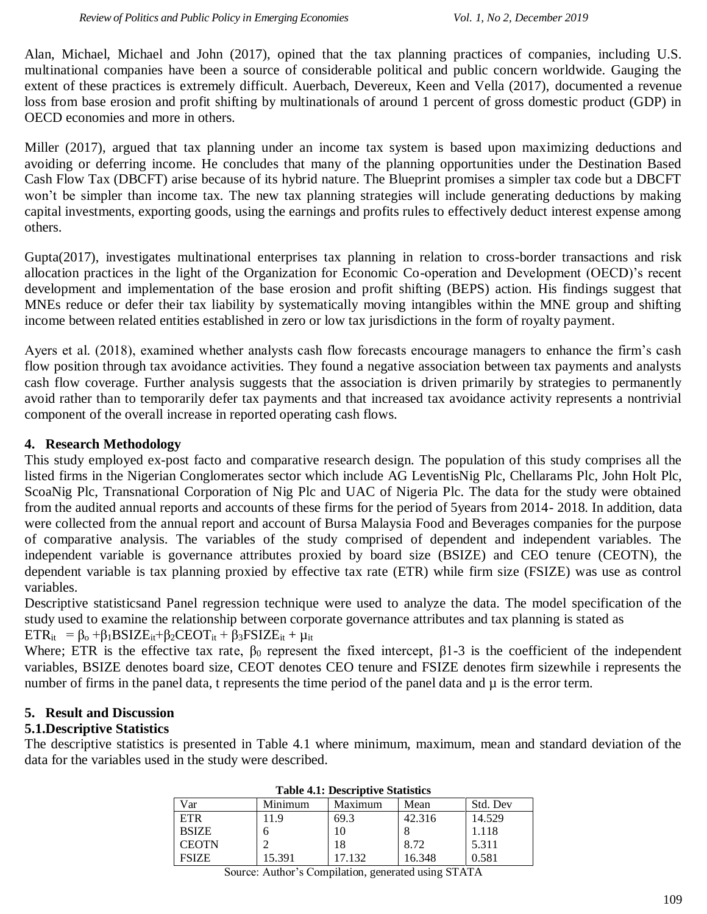Alan, Michael, Michael and John (2017), opined that the tax planning practices of companies, including U.S. multinational companies have been a source of considerable political and public concern worldwide. Gauging the extent of these practices is extremely difficult. Auerbach, Devereux, Keen and Vella (2017), documented a revenue loss from base erosion and profit shifting by multinationals of around 1 percent of gross domestic product (GDP) in OECD economies and more in others.

Miller (2017), argued that tax planning under an income tax system is based upon maximizing deductions and avoiding or deferring income. He concludes that many of the planning opportunities under the Destination Based Cash Flow Tax (DBCFT) arise because of its hybrid nature. The Blueprint promises a simpler tax code but a DBCFT won't be simpler than income tax. The new tax planning strategies will include generating deductions by making capital investments, exporting goods, using the earnings and profits rules to effectively deduct interest expense among others.

Gupta(2017), investigates multinational enterprises tax planning in relation to cross-border transactions and risk allocation practices in the light of the Organization for Economic Co-operation and Development (OECD)'s recent development and implementation of the base erosion and profit shifting (BEPS) action. His findings suggest that MNEs reduce or defer their tax liability by systematically moving intangibles within the MNE group and shifting income between related entities established in zero or low tax jurisdictions in the form of royalty payment.

Ayers et al. (2018), examined whether analysts cash flow forecasts encourage managers to enhance the firm's cash flow position through tax avoidance activities. They found a negative association between tax payments and analysts cash flow coverage. Further analysis suggests that the association is driven primarily by strategies to permanently avoid rather than to temporarily defer tax payments and that increased tax avoidance activity represents a nontrivial component of the overall increase in reported operating cash flows.

# **4. Research Methodology**

This study employed ex-post facto and comparative research design. The population of this study comprises all the listed firms in the Nigerian Conglomerates sector which include AG LeventisNig Plc, Chellarams Plc, John Holt Plc, ScoaNig Plc, Transnational Corporation of Nig Plc and UAC of Nigeria Plc. The data for the study were obtained from the audited annual reports and accounts of these firms for the period of 5years from 2014- 2018. In addition, data were collected from the annual report and account of Bursa Malaysia Food and Beverages companies for the purpose of comparative analysis. The variables of the study comprised of dependent and independent variables. The independent variable is governance attributes proxied by board size (BSIZE) and CEO tenure (CEOTN), the dependent variable is tax planning proxied by effective tax rate (ETR) while firm size (FSIZE) was use as control variables.

Descriptive statisticsand Panel regression technique were used to analyze the data. The model specification of the study used to examine the relationship between corporate governance attributes and tax planning is stated as

 $ETR_{it} = \beta_0 + \beta_1 BSIZE_{it} + \beta_2 CEOT_{it} + \beta_3 FSIZE_{it} + \mu_{it}$ 

Where; ETR is the effective tax rate,  $\beta_0$  represent the fixed intercept,  $\beta$ 1-3 is the coefficient of the independent variables, BSIZE denotes board size, CEOT denotes CEO tenure and FSIZE denotes firm sizewhile i represents the number of firms in the panel data, t represents the time period of the panel data and  $\mu$  is the error term.

# **5. Result and Discussion**

# **5.1.Descriptive Statistics**

The descriptive statistics is presented in Table 4.1 where minimum, maximum, mean and standard deviation of the data for the variables used in the study were described.

| Var          | Minimum | Maximum | Mean   | Std. Dev |  |  |
|--------------|---------|---------|--------|----------|--|--|
| ETR          | 11.9    | 69.3    | 42.316 | 14.529   |  |  |
| <b>BSIZE</b> |         |         |        | 1.118    |  |  |
| <b>CEOTN</b> |         | 18      | 8.72   | 5.311    |  |  |
| <b>FSIZE</b> | 15.391  | 17.132  | 16.348 | 0.581    |  |  |

|  | <b>Table 4.1: Descriptive Statistics</b> |  |
|--|------------------------------------------|--|
|--|------------------------------------------|--|

Source: Author's Compilation, generated using STATA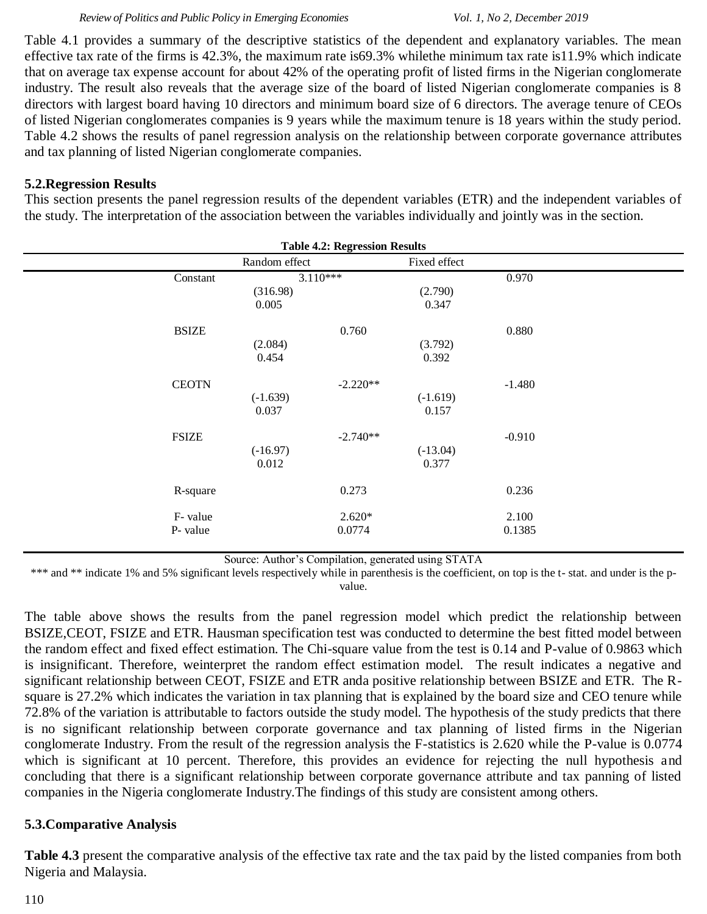Table 4.1 provides a summary of the descriptive statistics of the dependent and explanatory variables. The mean effective tax rate of the firms is 42.3%, the maximum rate is69.3% whilethe minimum tax rate is11.9% which indicate that on average tax expense account for about 42% of the operating profit of listed firms in the Nigerian conglomerate industry. The result also reveals that the average size of the board of listed Nigerian conglomerate companies is 8 directors with largest board having 10 directors and minimum board size of 6 directors. The average tenure of CEOs of listed Nigerian conglomerates companies is 9 years while the maximum tenure is 18 years within the study period. Table 4.2 shows the results of panel regression analysis on the relationship between corporate governance attributes and tax planning of listed Nigerian conglomerate companies.

## **5.2.Regression Results**

This section presents the panel regression results of the dependent variables (ETR) and the independent variables of the study. The interpretation of the association between the variables individually and jointly was in the section.

| <b>Table 4.2: Regression Results</b> |                    |                     |                 |  |  |  |
|--------------------------------------|--------------------|---------------------|-----------------|--|--|--|
| Random effect                        |                    | Fixed effect        |                 |  |  |  |
| (316.98)<br>0.005                    |                    | (2.790)<br>0.347    | 0.970           |  |  |  |
| (2.084)<br>0.454                     | 0.760              | (3.792)<br>0.392    | 0.880           |  |  |  |
| $(-1.639)$<br>0.037                  | $-2.220**$         | $(-1.619)$<br>0.157 | $-1.480$        |  |  |  |
| $(-16.97)$<br>0.012                  | $-2.740**$         | $(-13.04)$<br>0.377 | $-0.910$        |  |  |  |
|                                      | 0.273              |                     | 0.236           |  |  |  |
|                                      | $2.620*$<br>0.0774 |                     | 2.100<br>0.1385 |  |  |  |
|                                      |                    | $3.110***$          |                 |  |  |  |

Source: Author's Compilation, generated using STATA

\*\*\* and \*\* indicate 1% and 5% significant levels respectively while in parenthesis is the coefficient, on top is the t- stat. and under is the pvalue.

The table above shows the results from the panel regression model which predict the relationship between BSIZE,CEOT, FSIZE and ETR. Hausman specification test was conducted to determine the best fitted model between the random effect and fixed effect estimation. The Chi-square value from the test is 0.14 and P-value of 0.9863 which is insignificant. Therefore, weinterpret the random effect estimation model. The result indicates a negative and significant relationship between CEOT, FSIZE and ETR anda positive relationship between BSIZE and ETR. The Rsquare is 27.2% which indicates the variation in tax planning that is explained by the board size and CEO tenure while 72.8% of the variation is attributable to factors outside the study model. The hypothesis of the study predicts that there is no significant relationship between corporate governance and tax planning of listed firms in the Nigerian conglomerate Industry. From the result of the regression analysis the F-statistics is 2.620 while the P-value is 0.0774 which is significant at 10 percent. Therefore, this provides an evidence for rejecting the null hypothesis and concluding that there is a significant relationship between corporate governance attribute and tax panning of listed companies in the Nigeria conglomerate Industry.The findings of this study are consistent among others.

# **5.3.Comparative Analysis**

**Table 4.3** present the comparative analysis of the effective tax rate and the tax paid by the listed companies from both Nigeria and Malaysia.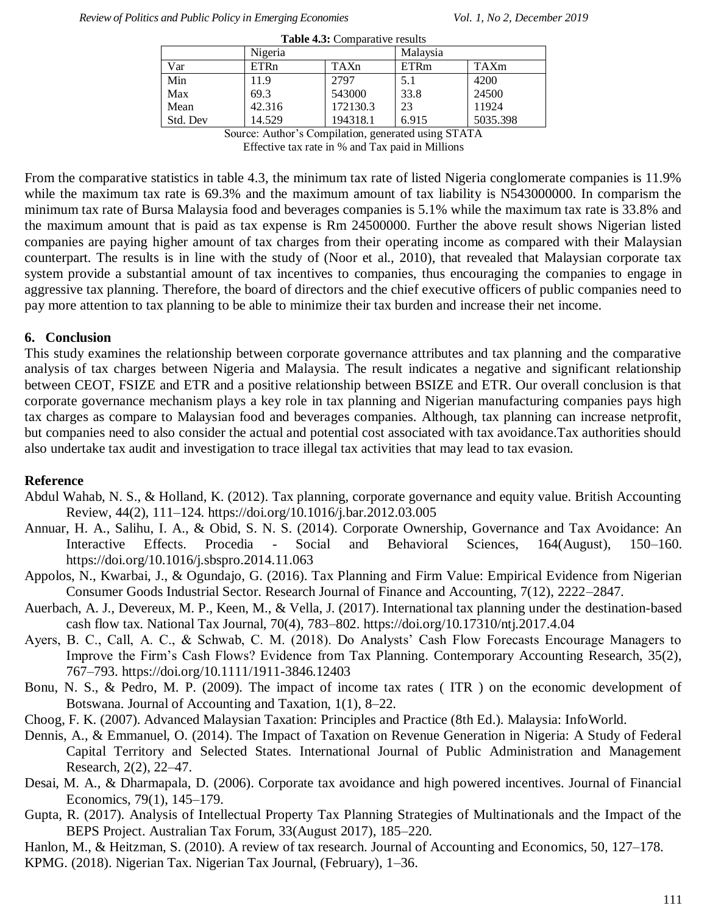| <b>Table 4.3:</b> Comparative results |             |          |             |          |  |  |  |
|---------------------------------------|-------------|----------|-------------|----------|--|--|--|
|                                       | Nigeria     |          | Malaysia    |          |  |  |  |
| Var                                   | <b>ETRn</b> | TAXn     | <b>ETRm</b> | TAXm     |  |  |  |
| Min                                   | 11.9        | 2797     | 5.1         | 4200     |  |  |  |
| Max                                   | 69.3        | 543000   | 33.8        | 24500    |  |  |  |
| Mean                                  | 42.316      | 172130.3 | 23          | 11924    |  |  |  |
| Std. Dev                              | 14.529      | 194318.1 | 6.915       | 5035.398 |  |  |  |

Source: Author's Compilation, generated using STATA

Effective tax rate in % and Tax paid in Millions

From the comparative statistics in table 4.3, the minimum tax rate of listed Nigeria conglomerate companies is 11.9% while the maximum tax rate is 69.3% and the maximum amount of tax liability is N543000000. In comparism the minimum tax rate of Bursa Malaysia food and beverages companies is 5.1% while the maximum tax rate is 33.8% and the maximum amount that is paid as tax expense is Rm 24500000. Further the above result shows Nigerian listed companies are paying higher amount of tax charges from their operating income as compared with their Malaysian counterpart. The results is in line with the study of (Noor et al., 2010), that revealed that Malaysian corporate tax system provide a substantial amount of tax incentives to companies, thus encouraging the companies to engage in aggressive tax planning. Therefore, the board of directors and the chief executive officers of public companies need to pay more attention to tax planning to be able to minimize their tax burden and increase their net income.

### **6. Conclusion**

This study examines the relationship between corporate governance attributes and tax planning and the comparative analysis of tax charges between Nigeria and Malaysia. The result indicates a negative and significant relationship between CEOT, FSIZE and ETR and a positive relationship between BSIZE and ETR. Our overall conclusion is that corporate governance mechanism plays a key role in tax planning and Nigerian manufacturing companies pays high tax charges as compare to Malaysian food and beverages companies. Although, tax planning can increase netprofit, but companies need to also consider the actual and potential cost associated with tax avoidance.Tax authorities should also undertake tax audit and investigation to trace illegal tax activities that may lead to tax evasion.

### **Reference**

- Abdul Wahab, N. S., & Holland, K. (2012). Tax planning, corporate governance and equity value. British Accounting Review, 44(2), 111–124. https://doi.org/10.1016/j.bar.2012.03.005
- Annuar, H. A., Salihu, I. A., & Obid, S. N. S. (2014). Corporate Ownership, Governance and Tax Avoidance: An Interactive Effects. Procedia - Social and Behavioral Sciences, 164(August), 150–160. https://doi.org/10.1016/j.sbspro.2014.11.063
- Appolos, N., Kwarbai, J., & Ogundajo, G. (2016). Tax Planning and Firm Value: Empirical Evidence from Nigerian Consumer Goods Industrial Sector. Research Journal of Finance and Accounting, 7(12), 2222–2847.
- Auerbach, A. J., Devereux, M. P., Keen, M., & Vella, J. (2017). International tax planning under the destination-based cash flow tax. National Tax Journal, 70(4), 783–802. https://doi.org/10.17310/ntj.2017.4.04
- Ayers, B. C., Call, A. C., & Schwab, C. M. (2018). Do Analysts' Cash Flow Forecasts Encourage Managers to Improve the Firm's Cash Flows? Evidence from Tax Planning. Contemporary Accounting Research, 35(2), 767–793. https://doi.org/10.1111/1911-3846.12403
- Bonu, N. S., & Pedro, M. P. (2009). The impact of income tax rates ( ITR ) on the economic development of Botswana. Journal of Accounting and Taxation, 1(1), 8–22.
- Choog, F. K. (2007). Advanced Malaysian Taxation: Principles and Practice (8th Ed.). Malaysia: InfoWorld.
- Dennis, A., & Emmanuel, O. (2014). The Impact of Taxation on Revenue Generation in Nigeria: A Study of Federal Capital Territory and Selected States. International Journal of Public Administration and Management Research, 2(2), 22–47.
- Desai, M. A., & Dharmapala, D. (2006). Corporate tax avoidance and high powered incentives. Journal of Financial Economics, 79(1), 145–179.
- Gupta, R. (2017). Analysis of Intellectual Property Tax Planning Strategies of Multinationals and the Impact of the BEPS Project. Australian Tax Forum, 33(August 2017), 185–220.
- Hanlon, M., & Heitzman, S. (2010). A review of tax research. Journal of Accounting and Economics, 50, 127–178. KPMG. (2018). Nigerian Tax. Nigerian Tax Journal, (February), 1–36.